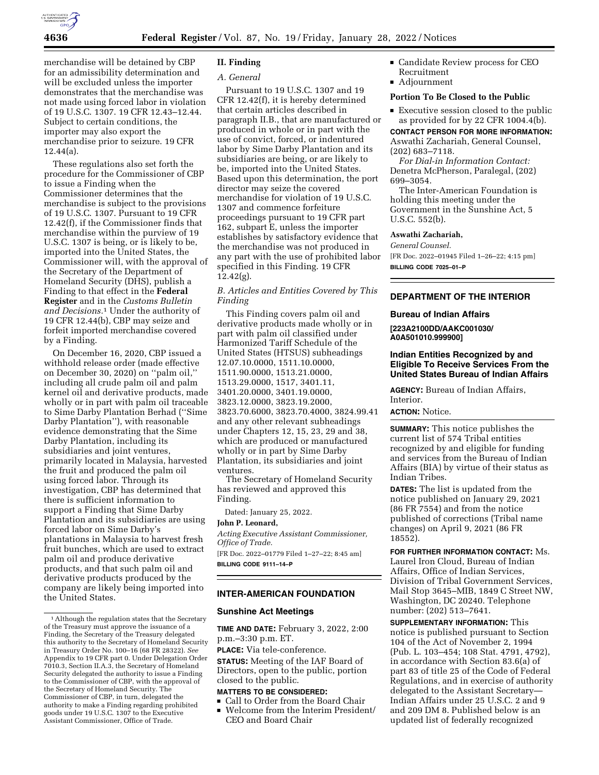

merchandise will be detained by CBP for an admissibility determination and will be excluded unless the importer demonstrates that the merchandise was not made using forced labor in violation of 19 U.S.C. 1307. 19 CFR 12.43–12.44. Subject to certain conditions, the importer may also export the merchandise prior to seizure. 19 CFR 12.44(a).

These regulations also set forth the procedure for the Commissioner of CBP to issue a Finding when the Commissioner determines that the merchandise is subject to the provisions of 19 U.S.C. 1307. Pursuant to 19 CFR 12.42(f), if the Commissioner finds that merchandise within the purview of 19 U.S.C. 1307 is being, or is likely to be, imported into the United States, the Commissioner will, with the approval of the Secretary of the Department of Homeland Security (DHS), publish a Finding to that effect in the **Federal Register** and in the *Customs Bulletin and Decisions.*1 Under the authority of 19 CFR 12.44(b), CBP may seize and forfeit imported merchandise covered by a Finding.

On December 16, 2020, CBP issued a withhold release order (made effective on December 30, 2020) on ''palm oil,'' including all crude palm oil and palm kernel oil and derivative products, made wholly or in part with palm oil traceable to Sime Darby Plantation Berhad (''Sime Darby Plantation''), with reasonable evidence demonstrating that the Sime Darby Plantation, including its subsidiaries and joint ventures, primarily located in Malaysia, harvested the fruit and produced the palm oil using forced labor. Through its investigation, CBP has determined that there is sufficient information to support a Finding that Sime Darby Plantation and its subsidiaries are using forced labor on Sime Darby's plantations in Malaysia to harvest fresh fruit bunches, which are used to extract palm oil and produce derivative products, and that such palm oil and derivative products produced by the company are likely being imported into the United States.

# **II. Finding**

# *A. General*

Pursuant to 19 U.S.C. 1307 and 19 CFR 12.42(f), it is hereby determined that certain articles described in paragraph II.B., that are manufactured or produced in whole or in part with the use of convict, forced, or indentured labor by Sime Darby Plantation and its subsidiaries are being, or are likely to be, imported into the United States. Based upon this determination, the port director may seize the covered merchandise for violation of 19 U.S.C. 1307 and commence forfeiture proceedings pursuant to 19 CFR part 162, subpart E, unless the importer establishes by satisfactory evidence that the merchandise was not produced in any part with the use of prohibited labor specified in this Finding. 19 CFR  $12.42(g)$ .

*B. Articles and Entities Covered by This Finding* 

This Finding covers palm oil and derivative products made wholly or in part with palm oil classified under Harmonized Tariff Schedule of the United States (HTSUS) subheadings 12.07.10.0000, 1511.10.0000, 1511.90.0000, 1513.21.0000, 1513.29.0000, 1517, 3401.11, 3401.20.0000, 3401.19.0000, 3823.12.0000, 3823.19.2000, 3823.70.6000, 3823.70.4000, 3824.99.41 and any other relevant subheadings under Chapters 12, 15, 23, 29 and 38, which are produced or manufactured wholly or in part by Sime Darby Plantation, its subsidiaries and joint ventures.

The Secretary of Homeland Security has reviewed and approved this Finding.

Dated: January 25, 2022.

# **John P. Leonard,**

*Acting Executive Assistant Commissioner, Office of Trade.* 

[FR Doc. 2022–01779 Filed 1–27–22; 8:45 am] **BILLING CODE 9111–14–P** 

### **INTER-AMERICAN FOUNDATION**

# **Sunshine Act Meetings**

**TIME AND DATE:** February 3, 2022, 2:00 p.m.–3:30 p.m. ET.

**PLACE:** Via tele-conference.

**STATUS:** Meeting of the IAF Board of Directors, open to the public, portion closed to the public.

- **MATTERS TO BE CONSIDERED:**  ■ Call to Order from the Board Chair<br>■ Welcome from the Interim Presider
- Welcome from the Interim President/<br>CEO and Board Chair CEO and Board Chair
- **Candidate Review process for CEO** Recruitment
- Adjournment

# **Portion To Be Closed to the Public**

Executive session closed to the public as provided for by 22 CFR 1004.4(b).

**CONTACT PERSON FOR MORE INFORMATION:**  Aswathi Zachariah, General Counsel, (202) 683–7118.

*For Dial-in Information Contact:*  Denetra McPherson, Paralegal, (202) 699–3054.

The Inter-American Foundation is holding this meeting under the Government in the Sunshine Act, 5 U.S.C. 552(b).

#### **Aswathi Zachariah,**

*General Counsel.* 

[FR Doc. 2022–01945 Filed 1–26–22; 4:15 pm] **BILLING CODE 7025–01–P** 

# **DEPARTMENT OF THE INTERIOR**

### **Bureau of Indian Affairs**

**[223A2100DD/AAKC001030/ A0A501010.999900]** 

# **Indian Entities Recognized by and Eligible To Receive Services From the United States Bureau of Indian Affairs**

**AGENCY:** Bureau of Indian Affairs, Interior.

# **ACTION:** Notice.

**SUMMARY:** This notice publishes the current list of 574 Tribal entities recognized by and eligible for funding and services from the Bureau of Indian Affairs (BIA) by virtue of their status as Indian Tribes.

**DATES:** The list is updated from the notice published on January 29, 2021 (86 FR 7554) and from the notice published of corrections (Tribal name changes) on April 9, 2021 (86 FR 18552).

**FOR FURTHER INFORMATION CONTACT:** Ms. Laurel Iron Cloud, Bureau of Indian Affairs, Office of Indian Services, Division of Tribal Government Services, Mail Stop 3645–MIB, 1849 C Street NW, Washington, DC 20240. Telephone number: (202) 513–7641.

**SUPPLEMENTARY INFORMATION:** This notice is published pursuant to Section 104 of the Act of November 2, 1994 (Pub. L. 103–454; 108 Stat. 4791, 4792), in accordance with Section 83.6(a) of part 83 of title 25 of the Code of Federal Regulations, and in exercise of authority delegated to the Assistant Secretary— Indian Affairs under 25 U.S.C. 2 and 9 and 209 DM 8. Published below is an updated list of federally recognized

<sup>&</sup>lt;sup>1</sup> Although the regulation states that the Secretary of the Treasury must approve the issuance of a Finding, the Secretary of the Treasury delegated this authority to the Secretary of Homeland Security in Treasury Order No. 100–16 (68 FR 28322). *See*  Appendix to 19 CFR part 0. Under Delegation Order 7010.3, Section II.A.3, the Secretary of Homeland Security delegated the authority to issue a Finding to the Commissioner of CBP, with the approval of the Secretary of Homeland Security. The Commissioner of CBP, in turn, delegated the authority to make a Finding regarding prohibited goods under 19 U.S.C. 1307 to the Executive Assistant Commissioner, Office of Trade.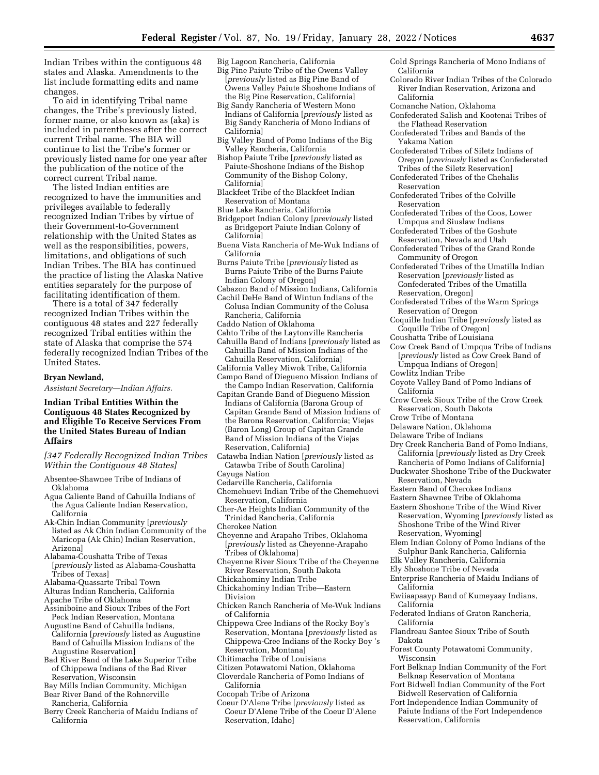Indian Tribes within the contiguous 48 states and Alaska. Amendments to the list include formatting edits and name changes.

To aid in identifying Tribal name changes, the Tribe's previously listed, former name, or also known as (aka) is included in parentheses after the correct current Tribal name. The BIA will continue to list the Tribe's former or previously listed name for one year after the publication of the notice of the correct current Tribal name.

The listed Indian entities are recognized to have the immunities and privileges available to federally recognized Indian Tribes by virtue of their Government-to-Government relationship with the United States as well as the responsibilities, powers, limitations, and obligations of such Indian Tribes. The BIA has continued the practice of listing the Alaska Native entities separately for the purpose of facilitating identification of them.

There is a total of 347 federally recognized Indian Tribes within the contiguous 48 states and 227 federally recognized Tribal entities within the state of Alaska that comprise the 574 federally recognized Indian Tribes of the United States.

# **Bryan Newland,**

*Assistant Secretary—Indian Affairs.* 

# **Indian Tribal Entities Within the Contiguous 48 States Recognized by and Eligible To Receive Services From the United States Bureau of Indian Affairs**

*[347 Federally Recognized Indian Tribes Within the Contiguous 48 States]* 

- Absentee-Shawnee Tribe of Indians of Oklahoma
- Agua Caliente Band of Cahuilla Indians of the Agua Caliente Indian Reservation, California
- Ak-Chin Indian Community [*previously*  listed as Ak Chin Indian Community of the Maricopa (Ak Chin) Indian Reservation, Arizona]
- Alabama-Coushatta Tribe of Texas [*previously* listed as Alabama-Coushatta Tribes of Texas]
- Alabama-Quassarte Tribal Town

Alturas Indian Rancheria, California

- Apache Tribe of Oklahoma
- Assiniboine and Sioux Tribes of the Fort Peck Indian Reservation, Montana
- Augustine Band of Cahuilla Indians, California [*previously* listed as Augustine Band of Cahuilla Mission Indians of the Augustine Reservation]
- Bad River Band of the Lake Superior Tribe of Chippewa Indians of the Bad River Reservation, Wisconsin
- Bay Mills Indian Community, Michigan
- Bear River Band of the Rohnerville Rancheria, California
- Berry Creek Rancheria of Maidu Indians of California
- Big Lagoon Rancheria, California
- Big Pine Paiute Tribe of the Owens Valley [*previously* listed as Big Pine Band of Owens Valley Paiute Shoshone Indians of the Big Pine Reservation, California]
- Big Sandy Rancheria of Western Mono Indians of California [*previously* listed as Big Sandy Rancheria of Mono Indians of California]
- Big Valley Band of Pomo Indians of the Big Valley Rancheria, California
- Bishop Paiute Tribe [*previously* listed as Paiute-Shoshone Indians of the Bishop Community of the Bishop Colony, California]
- Blackfeet Tribe of the Blackfeet Indian Reservation of Montana
- Blue Lake Rancheria, California
- Bridgeport Indian Colony [*previously* listed as Bridgeport Paiute Indian Colony of California]
- Buena Vista Rancheria of Me-Wuk Indians of California
- Burns Paiute Tribe [*previously* listed as Burns Paiute Tribe of the Burns Paiute Indian Colony of Oregon]
- Cabazon Band of Mission Indians, California
- Cachil DeHe Band of Wintun Indians of the Colusa Indian Community of the Colusa Rancheria, California
- Caddo Nation of Oklahoma
- Cahto Tribe of the Laytonville Rancheria
- Cahuilla Band of Indians [*previously* listed as Cahuilla Band of Mission Indians of the Cahuilla Reservation, California]
- California Valley Miwok Tribe, California Campo Band of Diegueno Mission Indians of
- the Campo Indian Reservation, California
- Capitan Grande Band of Diegueno Mission Indians of California (Barona Group of Capitan Grande Band of Mission Indians of the Barona Reservation, California; Viejas (Baron Long) Group of Capitan Grande Band of Mission Indians of the Viejas Reservation, California)
- Catawba Indian Nation [*previously* listed as Catawba Tribe of South Carolina] Cayuga Nation
- Cedarville Rancheria, California
- Chemehuevi Indian Tribe of the Chemehuevi Reservation, California
- Cher-Ae Heights Indian Community of the Trinidad Rancheria, California
- Cherokee Nation
- Cheyenne and Arapaho Tribes, Oklahoma [*previously* listed as Cheyenne-Arapaho Tribes of Oklahoma]

- Chickahominy Indian Tribe
- Chickahominy Indian Tribe—Eastern Division
- Chicken Ranch Rancheria of Me-Wuk Indians of California
- Chippewa Cree Indians of the Rocky Boy's Reservation, Montana [*previously* listed as Chippewa-Cree Indians of the Rocky Boy 's Reservation, Montana]
- Chitimacha Tribe of Louisiana
- Citizen Potawatomi Nation, Oklahoma
- Cloverdale Rancheria of Pomo Indians of
- California
- Cocopah Tribe of Arizona
- Coeur D'Alene Tribe [*previously* listed as Coeur D'Alene Tribe of the Coeur D'Alene Reservation, Idaho]
- Cold Springs Rancheria of Mono Indians of California
- Colorado River Indian Tribes of the Colorado River Indian Reservation, Arizona and California
- Comanche Nation, Oklahoma
- Confederated Salish and Kootenai Tribes of the Flathead Reservation
- Confederated Tribes and Bands of the Yakama Nation
- Confederated Tribes of Siletz Indians of Oregon [*previously* listed as Confederated Tribes of the Siletz Reservation]
- Confederated Tribes of the Chehalis Reservation
- Confederated Tribes of the Colville Reservation
- Confederated Tribes of the Coos, Lower Umpqua and Siuslaw Indians
- Confederated Tribes of the Goshute Reservation, Nevada and Utah
- Confederated Tribes of the Grand Ronde Community of Oregon
- Confederated Tribes of the Umatilla Indian Reservation [*previously* listed as Confederated Tribes of the Umatilla Reservation, Oregon]
- Confederated Tribes of the Warm Springs Reservation of Oregon
- Coquille Indian Tribe [*previously* listed as Coquille Tribe of Oregon]
- Coushatta Tribe of Louisiana
- Cow Creek Band of Umpqua Tribe of Indians [*previously* listed as Cow Creek Band of Umpqua Indians of Oregon]
- Cowlitz Indian Tribe
- Coyote Valley Band of Pomo Indians of California
- Crow Creek Sioux Tribe of the Crow Creek Reservation, South Dakota
- Crow Tribe of Montana
- Delaware Nation, Oklahoma
- Delaware Tribe of Indians
- Dry Creek Rancheria Band of Pomo Indians, California [*previously* listed as Dry Creek Rancheria of Pomo Indians of California]
- Duckwater Shoshone Tribe of the Duckwater Reservation, Nevada
- Eastern Band of Cherokee Indians
- Eastern Shawnee Tribe of Oklahoma
- Eastern Shoshone Tribe of the Wind River Reservation, Wyoming [*previously* listed as Shoshone Tribe of the Wind River Reservation, Wyoming]
- Elem Indian Colony of Pomo Indians of the Sulphur Bank Rancheria, California
- Elk Valley Rancheria, California
- Ely Shoshone Tribe of Nevada
- Enterprise Rancheria of Maidu Indians of California
- Ewiiaapaayp Band of Kumeyaay Indians, California
- Federated Indians of Graton Rancheria, California
- Flandreau Santee Sioux Tribe of South Dakota
- Forest County Potawatomi Community, Wisconsin
- Fort Belknap Indian Community of the Fort Belknap Reservation of Montana
- Fort Bidwell Indian Community of the Fort Bidwell Reservation of California
- Fort Independence Indian Community of Paiute Indians of the Fort Independence Reservation, California

Cheyenne River Sioux Tribe of the Cheyenne River Reservation, South Dakota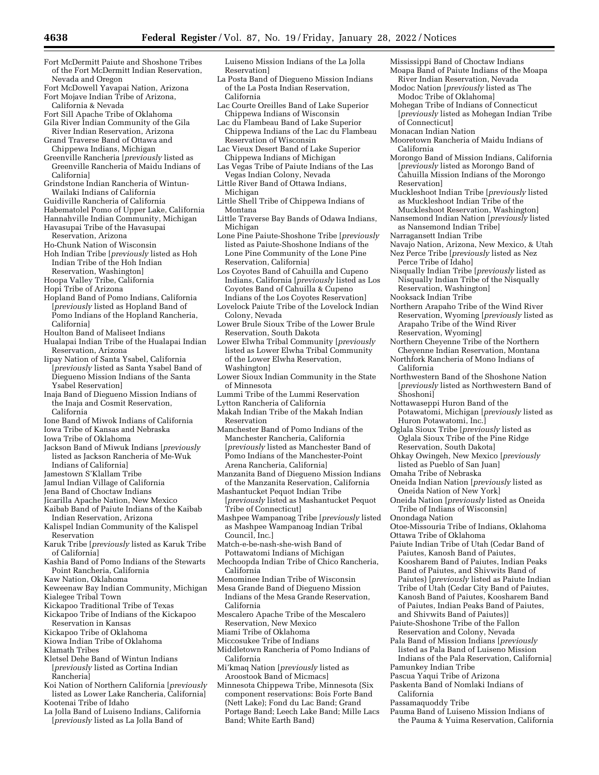- Fort McDermitt Paiute and Shoshone Tribes of the Fort McDermitt Indian Reservation, Nevada and Oregon
- Fort McDowell Yavapai Nation, Arizona Fort Mojave Indian Tribe of Arizona,

California & Nevada

- Fort Sill Apache Tribe of Oklahoma
- Gila River Indian Community of the Gila River Indian Reservation, Arizona Grand Traverse Band of Ottawa and
- Chippewa Indians, Michigan Greenville Rancheria [*previously* listed as
- Greenville Rancheria of Maidu Indians of California]
- Grindstone Indian Rancheria of Wintun-Wailaki Indians of California
- Guidiville Rancheria of California
- Habematolel Pomo of Upper Lake, California
- Hannahville Indian Community, Michigan
- Havasupai Tribe of the Havasupai Reservation, Arizona
- Ho-Chunk Nation of Wisconsin
- Hoh Indian Tribe [*previously* listed as Hoh Indian Tribe of the Hoh Indian Reservation, Washington]
- Hoopa Valley Tribe, California
- Hopi Tribe of Arizona
- Hopland Band of Pomo Indians, California [*previously* listed as Hopland Band of Pomo Indians of the Hopland Rancheria, California]
- Houlton Band of Maliseet Indians
- Hualapai Indian Tribe of the Hualapai Indian Reservation, Arizona
- Iipay Nation of Santa Ysabel, California [*previously* listed as Santa Ysabel Band of Diegueno Mission Indians of the Santa Ysabel Reservation]
- Inaja Band of Diegueno Mission Indians of the Inaja and Cosmit Reservation, California
- Ione Band of Miwok Indians of California
- Iowa Tribe of Kansas and Nebraska
- Iowa Tribe of Oklahoma
- Jackson Band of Miwuk Indians [*previously*  listed as Jackson Rancheria of Me-Wuk Indians of California]
- Jamestown S'Klallam Tribe
- Jamul Indian Village of California
- Jena Band of Choctaw Indians
- Jicarilla Apache Nation, New Mexico
- Kaibab Band of Paiute Indians of the Kaibab Indian Reservation, Arizona
- Kalispel Indian Community of the Kalispel Reservation
- Karuk Tribe [*previously* listed as Karuk Tribe of California]
- Kashia Band of Pomo Indians of the Stewarts Point Rancheria, California
- Kaw Nation, Oklahoma
- Keweenaw Bay Indian Community, Michigan Kialegee Tribal Town
- Kickapoo Traditional Tribe of Texas
- Kickapoo Tribe of Indians of the Kickapoo Reservation in Kansas
- Kickapoo Tribe of Oklahoma
- Kiowa Indian Tribe of Oklahoma
- Klamath Tribes
- Kletsel Dehe Band of Wintun Indians [*previously* listed as Cortina Indian Rancheria]
- Koi Nation of Northern California [*previously*  listed as Lower Lake Rancheria, California] Kootenai Tribe of Idaho
- La Jolla Band of Luiseno Indians, California [*previously* listed as La Jolla Band of
- Luiseno Mission Indians of the La Jolla Reservation]
- La Posta Band of Diegueno Mission Indians of the La Posta Indian Reservation, California
- Lac Courte Oreilles Band of Lake Superior Chippewa Indians of Wisconsin
- Lac du Flambeau Band of Lake Superior Chippewa Indians of the Lac du Flambeau Reservation of Wisconsin
- Lac Vieux Desert Band of Lake Superior Chippewa Indians of Michigan
- Las Vegas Tribe of Paiute Indians of the Las Vegas Indian Colony, Nevada
- Little River Band of Ottawa Indians, Michigan
- Little Shell Tribe of Chippewa Indians of Montana
- Little Traverse Bay Bands of Odawa Indians, Michigan
- Lone Pine Paiute-Shoshone Tribe [*previously*  listed as Paiute-Shoshone Indians of the Lone Pine Community of the Lone Pine Reservation, California]
- Los Coyotes Band of Cahuilla and Cupeno Indians, California [*previously* listed as Los Coyotes Band of Cahuilla & Cupeno Indians of the Los Coyotes Reservation]
- Lovelock Paiute Tribe of the Lovelock Indian Colony, Nevada
- Lower Brule Sioux Tribe of the Lower Brule Reservation, South Dakota
- Lower Elwha Tribal Community [*previously*  listed as Lower Elwha Tribal Community of the Lower Elwha Reservation, Washington]
- Lower Sioux Indian Community in the State of Minnesota
- Lummi Tribe of the Lummi Reservation
- Lytton Rancheria of California
- Makah Indian Tribe of the Makah Indian Reservation
- Manchester Band of Pomo Indians of the Manchester Rancheria, California [*previously* listed as Manchester Band of Pomo Indians of the Manchester-Point Arena Rancheria, California]
- Manzanita Band of Diegueno Mission Indians of the Manzanita Reservation, California
- Mashantucket Pequot Indian Tribe [*previously* listed as Mashantucket Pequot Tribe of Connecticut]
- Mashpee Wampanoag Tribe [*previously* listed as Mashpee Wampanoag Indian Tribal Council, Inc.]
- Match-e-be-nash-she-wish Band of Pottawatomi Indians of Michigan
- Mechoopda Indian Tribe of Chico Rancheria, California
- Menominee Indian Tribe of Wisconsin
- Mesa Grande Band of Diegueno Mission Indians of the Mesa Grande Reservation, California
- Mescalero Apache Tribe of the Mescalero Reservation, New Mexico
- Miami Tribe of Oklahoma
- Miccosukee Tribe of Indians
- Middletown Rancheria of Pomo Indians of California
- Mi'kmaq Nation [*previously* listed as Aroostook Band of Micmacs]
- Minnesota Chippewa Tribe, Minnesota (Six component reservations: Bois Forte Band (Nett Lake); Fond du Lac Band; Grand Portage Band; Leech Lake Band; Mille Lacs Band; White Earth Band)
- Mississippi Band of Choctaw Indians Moapa Band of Paiute Indians of the Moapa
- River Indian Reservation, Nevada Modoc Nation [*previously* listed as The
- Modoc Tribe of Oklahoma]
- Mohegan Tribe of Indians of Connecticut [*previously* listed as Mohegan Indian Tribe of Connecticut]
- Monacan Indian Nation
- Mooretown Rancheria of Maidu Indians of California
- Morongo Band of Mission Indians, California [*previously* listed as Morongo Band of Cahuilla Mission Indians of the Morongo Reservation]
- Muckleshoot Indian Tribe [*previously* listed as Muckleshoot Indian Tribe of the Muckleshoot Reservation, Washington]
- Nansemond Indian Nation [*previously* listed as Nansemond Indian Tribe]
- Narragansett Indian Tribe
- Navajo Nation, Arizona, New Mexico, & Utah Nez Perce Tribe [*previously* listed as Nez
- Perce Tribe of Idaho]
- Nisqually Indian Tribe [*previously* listed as Nisqually Indian Tribe of the Nisqually Reservation, Washington]
- Nooksack Indian Tribe
- Northern Arapaho Tribe of the Wind River Reservation, Wyoming [*previously* listed as Arapaho Tribe of the Wind River Reservation, Wyoming]
- Northern Cheyenne Tribe of the Northern
- Cheyenne Indian Reservation, Montana Northfork Rancheria of Mono Indians of California
- Northwestern Band of the Shoshone Nation [*previously* listed as Northwestern Band of Shoshoni]
- Nottawaseppi Huron Band of the Potawatomi, Michigan [*previously* listed as Huron Potawatomi, Inc.]
- Oglala Sioux Tribe [*previously* listed as Oglala Sioux Tribe of the Pine Ridge Reservation, South Dakota]
- Ohkay Owingeh, New Mexico [*previously*  listed as Pueblo of San Juan]
- Omaha Tribe of Nebraska

Ottawa Tribe of Oklahoma

- Oneida Indian Nation [*previously* listed as Oneida Nation of New York]
- Oneida Nation [*previously* listed as Oneida Tribe of Indians of Wisconsin] Onondaga Nation

Otoe-Missouria Tribe of Indians, Oklahoma

Paiute Indian Tribe of Utah (Cedar Band of Paiutes, Kanosh Band of Paiutes, Koosharem Band of Paiutes, Indian Peaks Band of Paiutes, and Shivwits Band of Paiutes) [*previously* listed as Paiute Indian Tribe of Utah (Cedar City Band of Paiutes, Kanosh Band of Paiutes, Koosharem Band of Paiutes, Indian Peaks Band of Paiutes,

and Shivwits Band of Paiutes)] Paiute-Shoshone Tribe of the Fallon Reservation and Colony, Nevada Pala Band of Mission Indians [*previously*  listed as Pala Band of Luiseno Mission Indians of the Pala Reservation, California]

Pauma Band of Luiseno Mission Indians of the Pauma & Yuima Reservation, California

Pamunkey Indian Tribe Pascua Yaqui Tribe of Arizona Paskenta Band of Nomlaki Indians of

California Passamaquoddy Tribe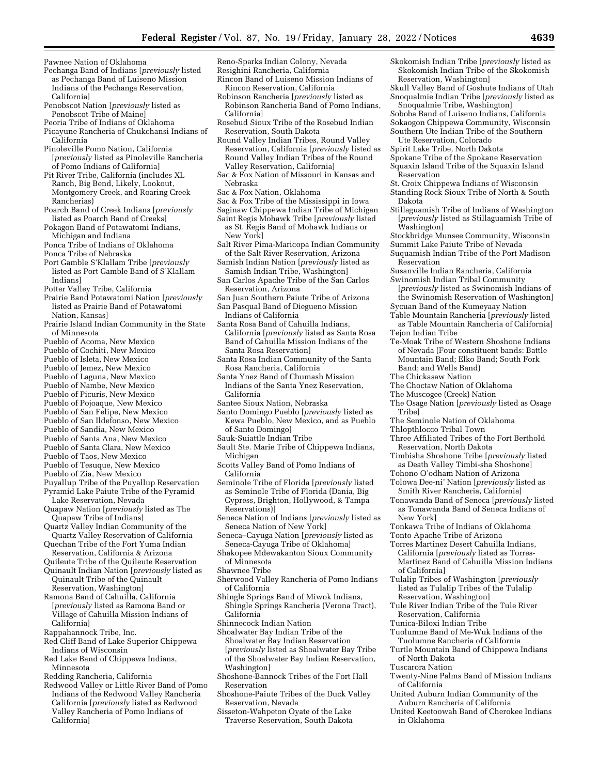Pawnee Nation of Oklahoma

- Pechanga Band of Indians [*previously* listed as Pechanga Band of Luiseno Mission Indians of the Pechanga Reservation, California]
- Penobscot Nation [*previously* listed as Penobscot Tribe of Maine]
- Peoria Tribe of Indians of Oklahoma
- Picayune Rancheria of Chukchansi Indians of California
- Pinoleville Pomo Nation, California [*previously* listed as Pinoleville Rancheria of Pomo Indians of California]
- Pit River Tribe, California (includes XL Ranch, Big Bend, Likely, Lookout, Montgomery Creek, and Roaring Creek Rancherias)
- Poarch Band of Creek Indians [*previously*  listed as Poarch Band of Creeks]
- Pokagon Band of Potawatomi Indians,
- Michigan and Indiana Ponca Tribe of Indians of Oklahoma
- Ponca Tribe of Nebraska
- Port Gamble S'Klallam Tribe [*previously*
- listed as Port Gamble Band of S'Klallam Indians]
- Potter Valley Tribe, California
- Prairie Band Potawatomi Nation [*previously*  listed as Prairie Band of Potawatomi Nation, Kansas]
- Prairie Island Indian Community in the State of Minnesota
- Pueblo of Acoma, New Mexico
- Pueblo of Cochiti, New Mexico
- Pueblo of Isleta, New Mexico Pueblo of Jemez, New Mexico
- Pueblo of Laguna, New Mexico
- Pueblo of Nambe, New Mexico
- 
- Pueblo of Picuris, New Mexico Pueblo of Pojoaque, New Mexico
- Pueblo of San Felipe, New Mexico
- Pueblo of San Ildefonso, New Mexico
- Pueblo of Sandia, New Mexico
- Pueblo of Santa Ana, New Mexico
- Pueblo of Santa Clara, New Mexico
- Pueblo of Taos, New Mexico
- Pueblo of Tesuque, New Mexico
- Pueblo of Zia, New Mexico
- Puyallup Tribe of the Puyallup Reservation Pyramid Lake Paiute Tribe of the Pyramid
- Lake Reservation, Nevada Quapaw Nation [*previously* listed as The
- Quapaw Tribe of Indians] Quartz Valley Indian Community of the
- Quartz Valley Reservation of California Quechan Tribe of the Fort Yuma Indian
- Reservation, California & Arizona Quileute Tribe of the Quileute Reservation
- Quinault Indian Nation [*previously* listed as Quinault Tribe of the Quinault
- Reservation, Washington] Ramona Band of Cahuilla, California
- [*previously* listed as Ramona Band or Village of Cahuilla Mission Indians of California]
- Rappahannock Tribe, Inc.
- Red Cliff Band of Lake Superior Chippewa Indians of Wisconsin
- Red Lake Band of Chippewa Indians, Minnesota
- Redding Rancheria, California
- Redwood Valley or Little River Band of Pomo Indians of the Redwood Valley Rancheria California [*previously* listed as Redwood Valley Rancheria of Pomo Indians of California]
- Reno-Sparks Indian Colony, Nevada Resighini Rancheria, California
- Rincon Band of Luiseno Mission Indians of Rincon Reservation, California
- Robinson Rancheria [*previously* listed as Robinson Rancheria Band of Pomo Indians, California]
- Rosebud Sioux Tribe of the Rosebud Indian Reservation, South Dakota
- Round Valley Indian Tribes, Round Valley Reservation, California [*previously* listed as Round Valley Indian Tribes of the Round Valley Reservation, California]
- Sac & Fox Nation of Missouri in Kansas and Nebraska
- Sac & Fox Nation, Oklahoma
- Sac & Fox Tribe of the Mississippi in Iowa
- Saginaw Chippewa Indian Tribe of Michigan
- Saint Regis Mohawk Tribe [*previously* listed as St. Regis Band of Mohawk Indians or New York]
- Salt River Pima-Maricopa Indian Community of the Salt River Reservation, Arizona
- Samish Indian Nation [*previously* listed as Samish Indian Tribe, Washington]
- San Carlos Apache Tribe of the San Carlos Reservation, Arizona
- San Juan Southern Paiute Tribe of Arizona San Pasqual Band of Diegueno Mission Indians of California
- Santa Rosa Band of Cahuilla Indians, California [*previously* listed as Santa Rosa Band of Cahuilla Mission Indians of the Santa Rosa Reservation]
- Santa Rosa Indian Community of the Santa Rosa Rancheria, California
- Santa Ynez Band of Chumash Mission Indians of the Santa Ynez Reservation, California
- Santee Sioux Nation, Nebraska
- Santo Domingo Pueblo [*previously* listed as Kewa Pueblo, New Mexico, and as Pueblo of Santo Domingo]
- Sauk-Suiattle Indian Tribe
- Sault Ste. Marie Tribe of Chippewa Indians, Michigan
- Scotts Valley Band of Pomo Indians of California
- Seminole Tribe of Florida [*previously* listed as Seminole Tribe of Florida (Dania, Big Cypress, Brighton, Hollywood, & Tampa Reservations)]
- Seneca Nation of Indians [*previously* listed as Seneca Nation of New York]
- Seneca–Cayuga Nation [*previously* listed as Seneca-Cayuga Tribe of Oklahoma]
- Shakopee Mdewakanton Sioux Community of Minnesota
- Shawnee Tribe
- Sherwood Valley Rancheria of Pomo Indians of California
- Shingle Springs Band of Miwok Indians, Shingle Springs Rancheria (Verona Tract), California
- Shinnecock Indian Nation
- Shoalwater Bay Indian Tribe of the Shoalwater Bay Indian Reservation [*previously* listed as Shoalwater Bay Tribe of the Shoalwater Bay Indian Reservation, Washington]
- Shoshone-Bannock Tribes of the Fort Hall Reservation
- Shoshone-Paiute Tribes of the Duck Valley Reservation, Nevada
- Sisseton-Wahpeton Oyate of the Lake Traverse Reservation, South Dakota
- Skokomish Indian Tribe [*previously* listed as Skokomish Indian Tribe of the Skokomish Reservation, Washington]
- Skull Valley Band of Goshute Indians of Utah Snoqualmie Indian Tribe [*previously* listed as
- Snoqualmie Tribe, Washington] Soboba Band of Luiseno Indians, California Sokaogon Chippewa Community, Wisconsin
- Southern Ute Indian Tribe of the Southern Ute Reservation, Colorado
- Spirit Lake Tribe, North Dakota
- Spokane Tribe of the Spokane Reservation Squaxin Island Tribe of the Squaxin Island Reservation
- St. Croix Chippewa Indians of Wisconsin
- Standing Rock Sioux Tribe of North & South Dakota
- Stillaguamish Tribe of Indians of Washington [*previously* listed as Stillaguamish Tribe of Washington]
- Stockbridge Munsee Community, Wisconsin Summit Lake Paiute Tribe of Nevada
- Suquamish Indian Tribe of the Port Madison Reservation
- Susanville Indian Rancheria, California Swinomish Indian Tribal Community
- [*previously* listed as Swinomish Indians of
- the Swinomish Reservation of Washington] Sycuan Band of the Kumeyaay Nation
- Table Mountain Rancheria [*previously* listed as Table Mountain Rancheria of California] Tejon Indian Tribe
- Te-Moak Tribe of Western Shoshone Indians of Nevada (Four constituent bands: Battle
- Mountain Band; Elko Band; South Fork Band; and Wells Band)
- The Chickasaw Nation
- The Choctaw Nation of Oklahoma
- The Muscogee (Creek) Nation

Reservation, North Dakota

Thlopthlocco Tribal Town

New York]

of California]

of North Dakota Tuscarora Nation

of California

in Oklahoma

The Osage Nation [*previously* listed as Osage Tribe] The Seminole Nation of Oklahoma

Three Affiliated Tribes of the Fort Berthold

Timbisha Shoshone Tribe [*previously* listed as Death Valley Timbi-sha Shoshone] Tohono O'odham Nation of Arizona Tolowa Dee-ni' Nation [*previously* listed as Smith River Rancheria, California] Tonawanda Band of Seneca [*previously* listed as Tonawanda Band of Seneca Indians of

Tonkawa Tribe of Indians of Oklahoma Tonto Apache Tribe of Arizona Torres Martinez Desert Cahuilla Indians, California [*previously* listed as Torres-Martinez Band of Cahuilla Mission Indians

Tulalip Tribes of Washington [*previously*  listed as Tulalip Tribes of the Tulalip

Tule River Indian Tribe of the Tule River

Tuolumne Band of Me-Wuk Indians of the Tuolumne Rancheria of California Turtle Mountain Band of Chippewa Indians

Twenty-Nine Palms Band of Mission Indians

United Auburn Indian Community of the Auburn Rancheria of California United Keetoowah Band of Cherokee Indians

Reservation, Washington]

Reservation, California Tunica-Biloxi Indian Tribe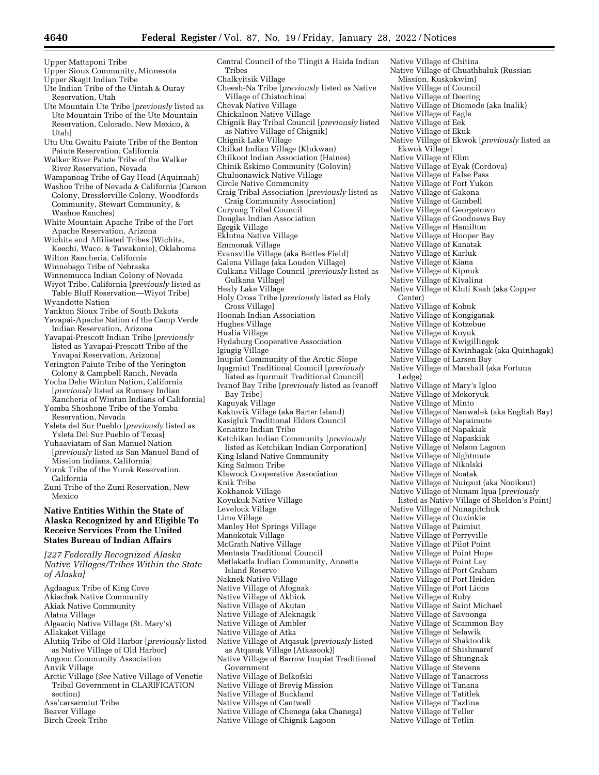Upper Skagit Indian Tribe Ute Indian Tribe of the Uintah & Ouray Reservation, Utah Ute Mountain Ute Tribe [*previously* listed as Ute Mountain Tribe of the Ute Mountain Reservation, Colorado, New Mexico, & Utah] Utu Utu Gwaitu Paiute Tribe of the Benton Paiute Reservation, California Walker River Paiute Tribe of the Walker River Reservation, Nevada Wampanoag Tribe of Gay Head (Aquinnah) Washoe Tribe of Nevada & California (Carson Colony, Dresslerville Colony, Woodfords Community, Stewart Community, & Washoe Ranches) White Mountain Apache Tribe of the Fort Apache Reservation, Arizona Wichita and Affiliated Tribes (Wichita, Keechi, Waco, & Tawakonie), Oklahoma Wilton Rancheria, California Winnebago Tribe of Nebraska Winnemucca Indian Colony of Nevada Wiyot Tribe, California [*previously* listed as Table Bluff Reservation—Wiyot Tribe] Wyandotte Nation Yankton Sioux Tribe of South Dakota Yavapai-Apache Nation of the Camp Verde Indian Reservation, Arizona Yavapai-Prescott Indian Tribe [*previously*  listed as Yavapai-Prescott Tribe of the Yavapai Reservation, Arizona] Yerington Paiute Tribe of the Yerington Colony & Campbell Ranch, Nevada Yocha Dehe Wintun Nation, California [*previously* listed as Rumsey Indian Rancheria of Wintun Indians of California] Yomba Shoshone Tribe of the Yomba Reservation, Nevada Ysleta del Sur Pueblo [*previously* listed as Ysleta Del Sur Pueblo of Texas] Yuhaaviatam of San Manuel Nation [*previously* listed as San Manuel Band of Mission Indians, California] Yurok Tribe of the Yurok Reservation, California Zuni Tribe of the Zuni Reservation, New Mexico **Native Entities Within the State of Alaska Recognized by and Eligible To Receive Services From the United States Bureau of Indian Affairs**  *[227 Federally Recognized Alaska Native Villages/Tribes Within the State of Alaska]*  Agdaagux Tribe of King Cove Akiachak Native Community Akiak Native Community Alatna Village Algaaciq Native Village (St. Mary's) Allakaket Village Alutiiq Tribe of Old Harbor [*previously* listed as Native Village of Old Harbor] Angoon Community Association Anvik Village Arctic Village (*See* Native Village of Venetie Tribal Government in CLARIFICATION section) Asa'carsarmiut Tribe Beaver Village Birch Creek Tribe

Central Council of the Tlingit & Haida Indian Tribes Chalkyitsik Village Cheesh-Na Tribe [*previously* listed as Native Village of Chistochina] Chevak Native Village Chickaloon Native Village Chignik Bay Tribal Council [*previously* listed as Native Village of Chignik] Chignik Lake Village Chilkat Indian Village (Klukwan) Chilkoot Indian Association (Haines) Chinik Eskimo Community (Golovin) Chuloonawick Native Village Circle Native Community Craig Tribal Association [*previously* listed as Craig Community Association] Curyung Tribal Council Douglas Indian Association Egegik Village Eklutna Native Village Emmonak Village Evansville Village (aka Bettles Field) Galena Village (aka Louden Village) Gulkana Village Council [*previously* listed as Gulkana Village] Healy Lake Village Holy Cross Tribe [*previously* listed as Holy Cross Village] Hoonah Indian Association Hughes Village Huslia Village Hydaburg Cooperative Association Igiugig Village Inupiat Community of the Arctic Slope Iqugmiut Traditional Council [*previously*  listed as Iqurmuit Traditional Council] Ivanof Bay Tribe [*previously* listed as Ivanoff Bay Tribe] Kaguyak Village Kaktovik Village (aka Barter Island) Kasigluk Traditional Elders Council Kenaitze Indian Tribe Ketchikan Indian Community [*previously*  listed as Ketchikan Indian Corporation] King Island Native Community King Salmon Tribe Klawock Cooperative Association Knik Tribe Kokhanok Village Koyukuk Native Village Levelock Village Lime Village Manley Hot Springs Village Manokotak Village McGrath Native Village Mentasta Traditional Council Metlakatla Indian Community, Annette Island Reserve Naknek Native Village Native Village of Afognak Native Village of Akhiok Native Village of Akutan Native Village of Aleknagik Native Village of Ambler Native Village of Atka Native Village of Atqasuk [*previously* listed as Atqasuk Village (Atkasook)] Native Village of Barrow Inupiat Traditional Government Native Village of Belkofski Native Village of Brevig Mission Native Village of Buckland Native Village of Cantwell Native Village of Chenega (aka Chanega) Native Village of Chignik Lagoon

Native Village of Chitina Native Village of Chuathbaluk (Russian Mission, Kuskokwim) Native Village of Council Native Village of Deering Native Village of Diomede (aka Inalik) Native Village of Eagle Native Village of Eek Native Village of Ekuk Native Village of Ekwok [*previously* listed as Ekwok Village] Native Village of Elim Native Village of Eyak (Cordova) Native Village of False Pass Native Village of Fort Yukon Native Village of Gakona Native Village of Gambell Native Village of Georgetown Native Village of Goodnews Bay Native Village of Hamilton Native Village of Hooper Bay Native Village of Kanatak Native Village of Karluk Native Village of Kiana Native Village of Kipnuk Native Village of Kivalina Native Village of Kluti Kaah (aka Copper Center) Native Village of Kobuk Native Village of Kongiganak Native Village of Kotzebue Native Village of Koyuk Native Village of Kwigillingok Native Village of Kwinhagak (aka Quinhagak) Native Village of Larsen Bay Native Village of Marshall (aka Fortuna Ledge) Native Village of Mary's Igloo Native Village of Mekoryuk Native Village of Minto Native Village of Nanwalek (aka English Bay) Native Village of Napaimute Native Village of Napakiak Native Village of Napaskiak Native Village of Nelson Lagoon Native Village of Nightmute Native Village of Nikolski Native Village of Noatak Native Village of Nuiqsut (aka Nooiksut) Native Village of Nunam Iqua [*previously*  listed as Native Village of Sheldon's Point] Native Village of Nunapitchuk Native Village of Ouzinkie Native Village of Paimiut Native Village of Perryville Native Village of Pilot Point Native Village of Point Hope Native Village of Point Lay Native Village of Port Graham Native Village of Port Heiden Native Village of Port Lions Native Village of Ruby Native Village of Saint Michael Native Village of Savoonga Native Village of Scammon Bay Native Village of Selawik Native Village of Shaktoolik Native Village of Shishmaref Native Village of Shungnak Native Village of Stevens Native Village of Tanacross Native Village of Tanana Native Village of Tatitlek Native Village of Tazlina Native Village of Teller Native Village of Tetlin

Upper Mattaponi Tribe

Upper Sioux Community, Minnesota